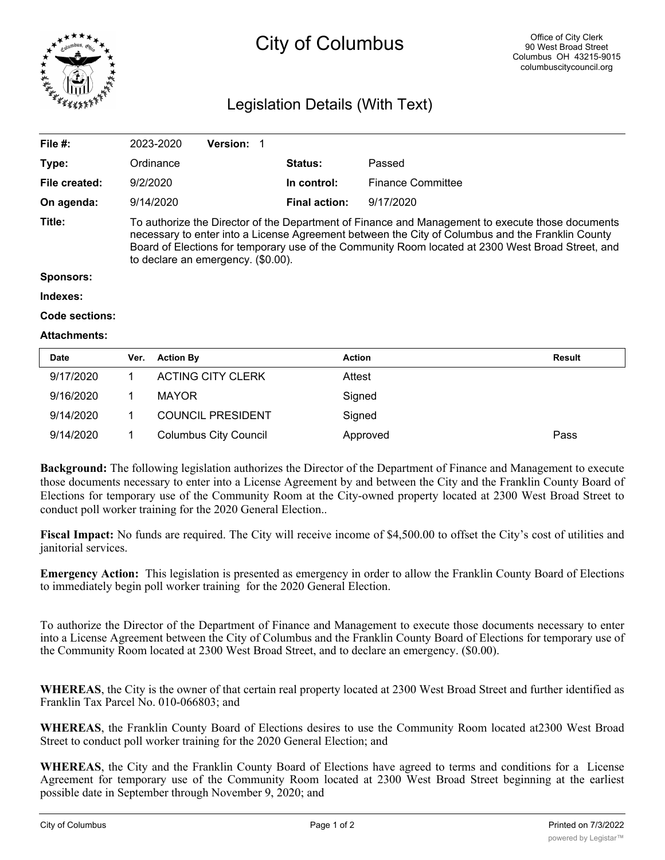

## City of Columbus

## Legislation Details (With Text)

| File #:          | 2023-2020                                                                                                                                                                                                                                                                                                                                       | <b>Version:</b> |                      |                          |  |  |
|------------------|-------------------------------------------------------------------------------------------------------------------------------------------------------------------------------------------------------------------------------------------------------------------------------------------------------------------------------------------------|-----------------|----------------------|--------------------------|--|--|
| Type:            | Ordinance                                                                                                                                                                                                                                                                                                                                       |                 | Status:              | Passed                   |  |  |
| File created:    | 9/2/2020                                                                                                                                                                                                                                                                                                                                        |                 | In control:          | <b>Finance Committee</b> |  |  |
| On agenda:       | 9/14/2020                                                                                                                                                                                                                                                                                                                                       |                 | <b>Final action:</b> | 9/17/2020                |  |  |
| Title:           | To authorize the Director of the Department of Finance and Management to execute those documents<br>necessary to enter into a License Agreement between the City of Columbus and the Franklin County<br>Board of Elections for temporary use of the Community Room located at 2300 West Broad Street, and<br>to declare an emergency. (\$0.00). |                 |                      |                          |  |  |
| <b>Sponsors:</b> |                                                                                                                                                                                                                                                                                                                                                 |                 |                      |                          |  |  |
| Indexes:         |                                                                                                                                                                                                                                                                                                                                                 |                 |                      |                          |  |  |
| Code sections:   |                                                                                                                                                                                                                                                                                                                                                 |                 |                      |                          |  |  |

## **Attachments:**

| <b>Date</b> | Ver. | <b>Action By</b>             | <b>Action</b> | Result |
|-------------|------|------------------------------|---------------|--------|
| 9/17/2020   |      | <b>ACTING CITY CLERK</b>     | Attest        |        |
| 9/16/2020   |      | <b>MAYOR</b>                 | Signed        |        |
| 9/14/2020   |      | <b>COUNCIL PRESIDENT</b>     | Signed        |        |
| 9/14/2020   |      | <b>Columbus City Council</b> | Approved      | Pass   |

**Background:** The following legislation authorizes the Director of the Department of Finance and Management to execute those documents necessary to enter into a License Agreement by and between the City and the Franklin County Board of Elections for temporary use of the Community Room at the City-owned property located at 2300 West Broad Street to conduct poll worker training for the 2020 General Election..

**Fiscal Impact:** No funds are required. The City will receive income of \$4,500.00 to offset the City's cost of utilities and janitorial services.

**Emergency Action:** This legislation is presented as emergency in order to allow the Franklin County Board of Elections to immediately begin poll worker training for the 2020 General Election.

To authorize the Director of the Department of Finance and Management to execute those documents necessary to enter into a License Agreement between the City of Columbus and the Franklin County Board of Elections for temporary use of the Community Room located at 2300 West Broad Street, and to declare an emergency. (\$0.00).

**WHEREAS**, the City is the owner of that certain real property located at 2300 West Broad Street and further identified as Franklin Tax Parcel No. 010-066803; and

**WHEREAS**, the Franklin County Board of Elections desires to use the Community Room located at2300 West Broad Street to conduct poll worker training for the 2020 General Election; and

**WHEREAS**, the City and the Franklin County Board of Elections have agreed to terms and conditions for a License Agreement for temporary use of the Community Room located at 2300 West Broad Street beginning at the earliest possible date in September through November 9, 2020; and